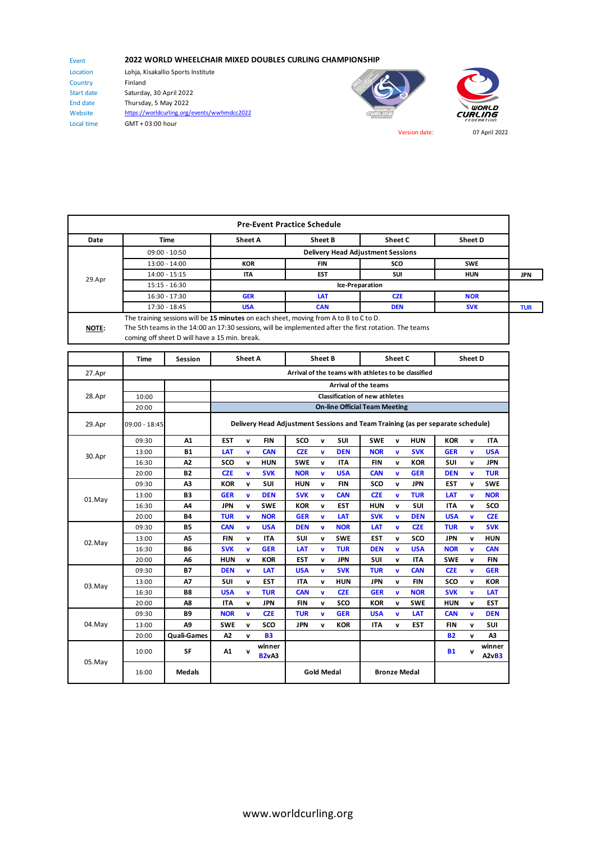## **2022 WORLD WHEELCHAIR MIXED DOUBLES CURLING CHAMPIONSHIP**

Event Location Country Start date End date Website Local time

Lohja, Kisakallio Sports Institute Finland Saturday, 30 April 2022 Thursday, 5 May 2022 https://worldcurling.org/events/wwhmdcc2022 GMT + 03:00 hour





Version date: 07 April 2022

|              |                                                                                                                                                        |                                          | <b>Pre-Event Practice Schedule</b> |            |            |            |  |  |  |  |
|--------------|--------------------------------------------------------------------------------------------------------------------------------------------------------|------------------------------------------|------------------------------------|------------|------------|------------|--|--|--|--|
| Date         | Time                                                                                                                                                   | <b>Sheet A</b>                           | Sheet B                            | Sheet C    | Sheet D    |            |  |  |  |  |
| 29.Apr       | $09:00 - 10:50$                                                                                                                                        | <b>Delivery Head Adjustment Sessions</b> |                                    |            |            |            |  |  |  |  |
|              | 13:00 - 14:00                                                                                                                                          | <b>KOR</b>                               | <b>FIN</b>                         | <b>SCO</b> | <b>SWE</b> |            |  |  |  |  |
|              | 14:00 - 15:15                                                                                                                                          | <b>ITA</b>                               | <b>EST</b>                         | <b>SUI</b> | <b>HUN</b> | JPN        |  |  |  |  |
|              | $15:15 - 16:30$                                                                                                                                        | Ice-Preparation                          |                                    |            |            |            |  |  |  |  |
|              | 16:30 - 17:30                                                                                                                                          | <b>GER</b>                               | LAT                                | <b>CZE</b> | <b>NOR</b> |            |  |  |  |  |
|              | 17:30 - 18:45                                                                                                                                          | <b>USA</b>                               | <b>CAN</b>                         | <b>DEN</b> | <b>SVK</b> | <b>TUR</b> |  |  |  |  |
| <b>NOTE:</b> | The training sessions will be 15 minutes on each sheet, moving from A to B to C to D.                                                                  |                                          |                                    |            |            |            |  |  |  |  |
|              | The 5th teams in the 14:00 an 17:30 sessions, will be implemented after the first rotation. The teams<br>coming off sheet D will have a 15 min. break. |                                          |                                    |            |            |            |  |  |  |  |

|        | <b>Time</b>   | Session            |                                                                                | <b>Sheet A</b> |                        |            | <b>Sheet B</b>    |            |                     | Sheet C      |            |            | Sheet D |                 |
|--------|---------------|--------------------|--------------------------------------------------------------------------------|----------------|------------------------|------------|-------------------|------------|---------------------|--------------|------------|------------|---------|-----------------|
| 27.Apr |               |                    | Arrival of the teams with athletes to be classified                            |                |                        |            |                   |            |                     |              |            |            |         |                 |
|        |               |                    | <b>Arrival of the teams</b>                                                    |                |                        |            |                   |            |                     |              |            |            |         |                 |
| 28.Apr | 10:00         |                    | <b>Classification of new athletes</b>                                          |                |                        |            |                   |            |                     |              |            |            |         |                 |
|        | 20:00         |                    | <b>On-line Official Team Meeting</b>                                           |                |                        |            |                   |            |                     |              |            |            |         |                 |
| 29.Apr | 09:00 - 18:45 |                    | Delivery Head Adjustment Sessions and Team Training (as per separate schedule) |                |                        |            |                   |            |                     |              |            |            |         |                 |
|        | 09:30         | A1                 | <b>EST</b>                                                                     | $\mathbf{v}$   | <b>FIN</b>             | sco        | $\mathbf{v}$      | SUI        | <b>SWE</b>          | v            | <b>HUN</b> | <b>KOR</b> | v       | <b>ITA</b>      |
| 30.Apr | 13:00         | <b>B1</b>          | LAT                                                                            | v              | <b>CAN</b>             | <b>CZE</b> | v                 | <b>DEN</b> | <b>NOR</b>          | $\mathbf{v}$ | <b>SVK</b> | <b>GER</b> | v       | <b>USA</b>      |
|        | 16:30         | A2                 | SCO                                                                            | $\mathbf{v}$   | <b>HUN</b>             | <b>SWE</b> | v                 | <b>ITA</b> | <b>FIN</b>          | $\mathbf{v}$ | <b>KOR</b> | <b>SUI</b> | v       | <b>JPN</b>      |
|        | 20:00         | <b>B2</b>          | <b>CZE</b>                                                                     | v              | <b>SVK</b>             | <b>NOR</b> | v                 | <b>USA</b> | <b>CAN</b>          | v            | <b>GER</b> | <b>DEN</b> | v       | <b>TUR</b>      |
|        | 09:30         | A3                 | <b>KOR</b>                                                                     | $\mathbf{v}$   | <b>SUI</b>             | <b>HUN</b> | v                 | <b>FIN</b> | sco                 | $\mathbf{v}$ | <b>JPN</b> | <b>EST</b> | v       | <b>SWE</b>      |
| 01.May | 13:00         | B <sub>3</sub>     | <b>GER</b>                                                                     | v              | <b>DEN</b>             | <b>SVK</b> | v                 | <b>CAN</b> | <b>CZE</b>          | $\mathbf{v}$ | <b>TUR</b> | LAT        | v       | <b>NOR</b>      |
|        | 16:30         | A4                 | <b>JPN</b>                                                                     | $\mathbf v$    | <b>SWE</b>             | <b>KOR</b> | v                 | <b>EST</b> | <b>HUN</b>          | v            | SUI        | <b>ITA</b> | v       | SCO             |
|        | 20:00         | <b>B4</b>          | <b>TUR</b>                                                                     | $\mathbf{v}$   | <b>NOR</b>             | <b>GER</b> | v                 | LAT        | <b>SVK</b>          | $\mathbf v$  | <b>DEN</b> | <b>USA</b> | v       | <b>CZE</b>      |
|        | 09:30         | <b>B5</b>          | <b>CAN</b>                                                                     | v              | <b>USA</b>             | <b>DEN</b> | v                 | <b>NOR</b> | LAT                 | $\mathbf v$  | <b>CZE</b> | <b>TUR</b> | v       | <b>SVK</b>      |
|        | 13:00         | A5                 | <b>FIN</b>                                                                     | $\mathbf{v}$   | <b>ITA</b>             | SUI        | v                 | <b>SWE</b> | <b>EST</b>          | $\mathbf{v}$ | SCO        | <b>JPN</b> | v       | <b>HUN</b>      |
| 02.May | 16:30         | <b>B6</b>          | <b>SVK</b>                                                                     | v              | <b>GER</b>             | LAT        | v                 | <b>TUR</b> | <b>DEN</b>          | v            | <b>USA</b> | <b>NOR</b> | v       | <b>CAN</b>      |
|        | 20:00         | A6                 | <b>HUN</b>                                                                     | $\mathbf{v}$   | <b>KOR</b>             | <b>EST</b> | v                 | <b>JPN</b> | <b>SUI</b>          | $\mathbf{v}$ | <b>ITA</b> | <b>SWE</b> | v       | <b>FIN</b>      |
|        | 09:30         | <b>B7</b>          | <b>DEN</b>                                                                     | v              | <b>LAT</b>             | <b>USA</b> | $\mathbf{v}$      | <b>SVK</b> | <b>TUR</b>          | $\mathbf v$  | <b>CAN</b> | <b>CZE</b> | v       | <b>GER</b>      |
| 03.May | 13:00         | A7                 | SUI                                                                            | $\mathbf{v}$   | <b>EST</b>             | <b>ITA</b> | $\mathbf{v}$      | <b>HUN</b> | <b>JPN</b>          | $\mathbf{v}$ | <b>FIN</b> | SCO        | v       | <b>KOR</b>      |
|        | 16:30         | <b>B8</b>          | <b>USA</b>                                                                     | v              | <b>TUR</b>             | <b>CAN</b> | v                 | <b>CZE</b> | <b>GER</b>          | $\mathbf{v}$ | <b>NOR</b> | <b>SVK</b> | v       | LAT             |
|        | 20:00         | A8                 | <b>ITA</b>                                                                     | $\mathbf{v}$   | <b>JPN</b>             | <b>FIN</b> | v                 | sco        | <b>KOR</b>          | v            | <b>SWE</b> | <b>HUN</b> | v       | <b>EST</b>      |
|        | 09:30         | <b>B9</b>          | <b>NOR</b>                                                                     | $\mathbf{v}$   | <b>CZE</b>             | <b>TUR</b> | v                 | <b>GER</b> | <b>USA</b>          | $\mathbf{v}$ | LAT        | <b>CAN</b> | v       | <b>DEN</b>      |
| 04.May | 13:00         | A <sub>9</sub>     | <b>SWE</b>                                                                     | $\mathbf v$    | SCO                    | <b>JPN</b> | v                 | <b>KOR</b> | <b>ITA</b>          | v            | <b>EST</b> | <b>FIN</b> | v       | <b>SUI</b>      |
|        | 20:00         | <b>Quali-Games</b> | A2                                                                             | $\mathbf{v}$   | <b>B3</b>              |            |                   |            |                     |              |            | <b>B2</b>  | v       | A <sub>3</sub>  |
| 05.May | 10:00         | SF                 | A1                                                                             | $\mathbf{v}$   | winner<br><b>B2vA3</b> |            |                   |            |                     |              |            | <b>B1</b>  | v       | winner<br>A2vB3 |
|        | 16:00         | <b>Medals</b>      |                                                                                |                |                        |            | <b>Gold Medal</b> |            | <b>Bronze Medal</b> |              |            |            |         |                 |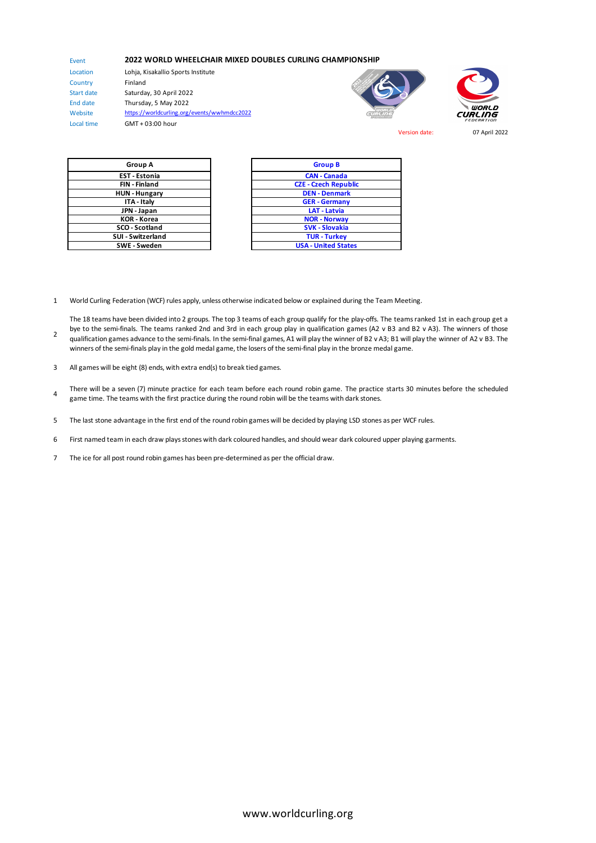## **2022 WORLD WHEELCHAIR MIXED DOUBLES CURLING CHAMPIONSHIP**

Location Country Start date End date Website Local time

Event

2

Lohja, Kisakallio Sports Institute Finland Saturday, 30 April 2022 Thursday, 5 May 2022 https://worldcurling.org/events/wwhmdcc2022 GMT + 03:00 hour





Version date: 07 April 2022

| Group A                  | <b>Group B</b>            |
|--------------------------|---------------------------|
| <b>EST - Estonia</b>     | <b>CAN - Canada</b>       |
| <b>FIN-Finland</b>       | <b>CZE - Czech Repu</b>   |
| <b>HUN-Hungary</b>       | <b>DEN - Denmar</b>       |
| ITA - Italy              | <b>GER - German</b>       |
| JPN - Japan              | <b>LAT - Latvia</b>       |
| <b>KOR</b> - Korea       | <b>NOR - Norway</b>       |
| SCO - Scotland           | <b>SVK - Slovakia</b>     |
| <b>SUI - Switzerland</b> | <b>TUR - Turkey</b>       |
| $CME - C$ weden          | <b>IICA</b> - Linitad Sta |

| Group A                 | Group B                     |
|-------------------------|-----------------------------|
| <b>EST - Estonia</b>    | <b>CAN - Canada</b>         |
| <b>FIN</b> - Finland    | <b>CZE - Czech Republic</b> |
| <b>HUN - Hungary</b>    | <b>DEN - Denmark</b>        |
| ITA - Italy             | <b>GER</b> - Germany        |
| JPN - Japan             | <b>LAT - Latvia</b>         |
| <b>KOR</b> - Korea      | <b>NOR - Norway</b>         |
| SCO - Scotland          | <b>SVK - Slovakia</b>       |
| <b>UI - Switzerland</b> | <b>TUR - Turkey</b>         |
| SWE - Sweden            | <b>USA - United States</b>  |

1 World Curling Federation (WCF) rules apply, unless otherwise indicated below or explained during the Team Meeting.

The 18 teams have been divided into 2 groups. The top 3 teams of each group qualify for the play-offs. The teams ranked 1st in each group get a bye to the semi-finals. The teams ranked 2nd and 3rd in each group play in qualification games (A2 v B3 and B2 v A3). The winners of those qualification games advance to the semi-finals. In the semi-final games, A1 will play the winner of B2 v A3; B1 will play the winner of A2 v B3. The winners of the semi-finals play in the gold medal game, the losers of the semi-final play in the bronze medal game.

- 3 All games will be eight (8) ends, with extra end(s) to break tied games.
- 4 There will be a seven (7) minute practice for each team before each round robin game. The practice starts 30 minutes before the scheduled game time. The teams with the first practice during the round robin will be the teams with dark stones.
- 5 The last stone advantage in the first end of the round robin games will be decided by playing LSD stones as per WCF rules.
- 6 First named team in each draw plays stones with dark coloured handles, and should wear dark coloured upper playing garments.
- 7 The ice for all post round robin games has been pre-determined as per the official draw.